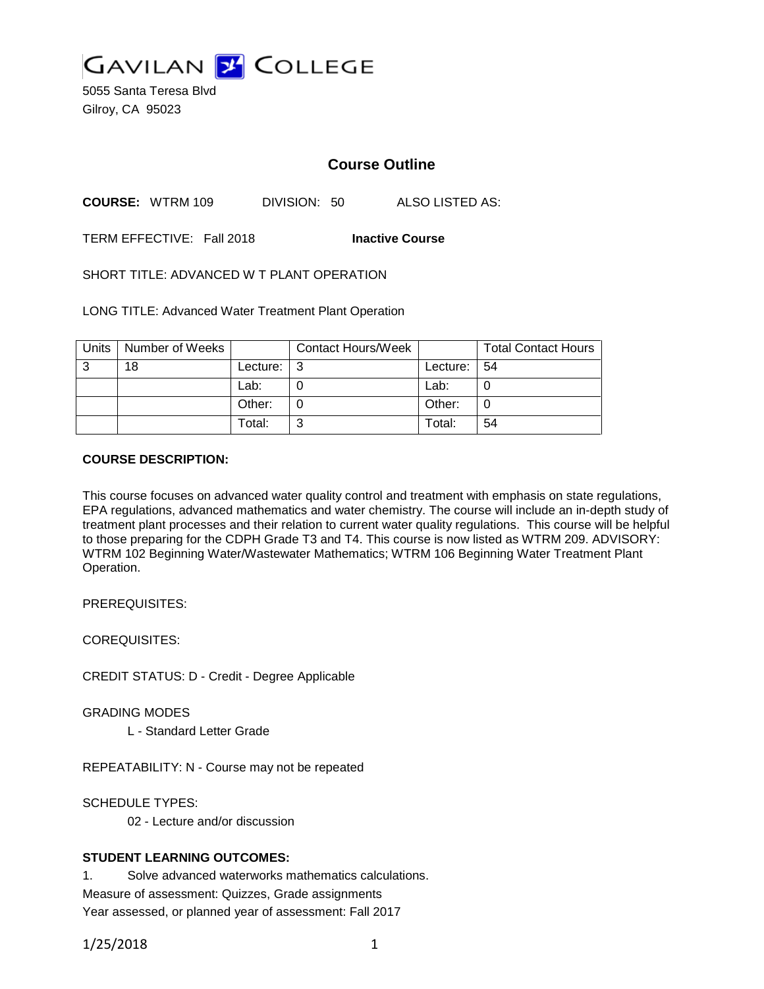

5055 Santa Teresa Blvd Gilroy, CA 95023

# **Course Outline**

**COURSE:** WTRM 109 DIVISION: 50 ALSO LISTED AS:

TERM EFFECTIVE: Fall 2018 **Inactive Course**

SHORT TITLE: ADVANCED W T PLANT OPERATION

LONG TITLE: Advanced Water Treatment Plant Operation

| Units | Number of Weeks |          | <b>Contact Hours/Week</b> |          | <b>Total Contact Hours</b> |
|-------|-----------------|----------|---------------------------|----------|----------------------------|
| -3    | 18              | Lecture: | -3                        | Lecture: | l 54                       |
|       |                 | Lab:     |                           | Lab:     |                            |
|       |                 | Other:   |                           | Other:   | 0                          |
|       |                 | Total:   | ີ                         | Total:   | 54                         |

#### **COURSE DESCRIPTION:**

This course focuses on advanced water quality control and treatment with emphasis on state regulations, EPA regulations, advanced mathematics and water chemistry. The course will include an in-depth study of treatment plant processes and their relation to current water quality regulations. This course will be helpful to those preparing for the CDPH Grade T3 and T4. This course is now listed as WTRM 209. ADVISORY: WTRM 102 Beginning Water/Wastewater Mathematics; WTRM 106 Beginning Water Treatment Plant Operation.

PREREQUISITES:

COREQUISITES:

CREDIT STATUS: D - Credit - Degree Applicable

GRADING MODES

L - Standard Letter Grade

REPEATABILITY: N - Course may not be repeated

SCHEDULE TYPES:

02 - Lecture and/or discussion

### **STUDENT LEARNING OUTCOMES:**

1. Solve advanced waterworks mathematics calculations. Measure of assessment: Quizzes, Grade assignments Year assessed, or planned year of assessment: Fall 2017

1/25/2018 1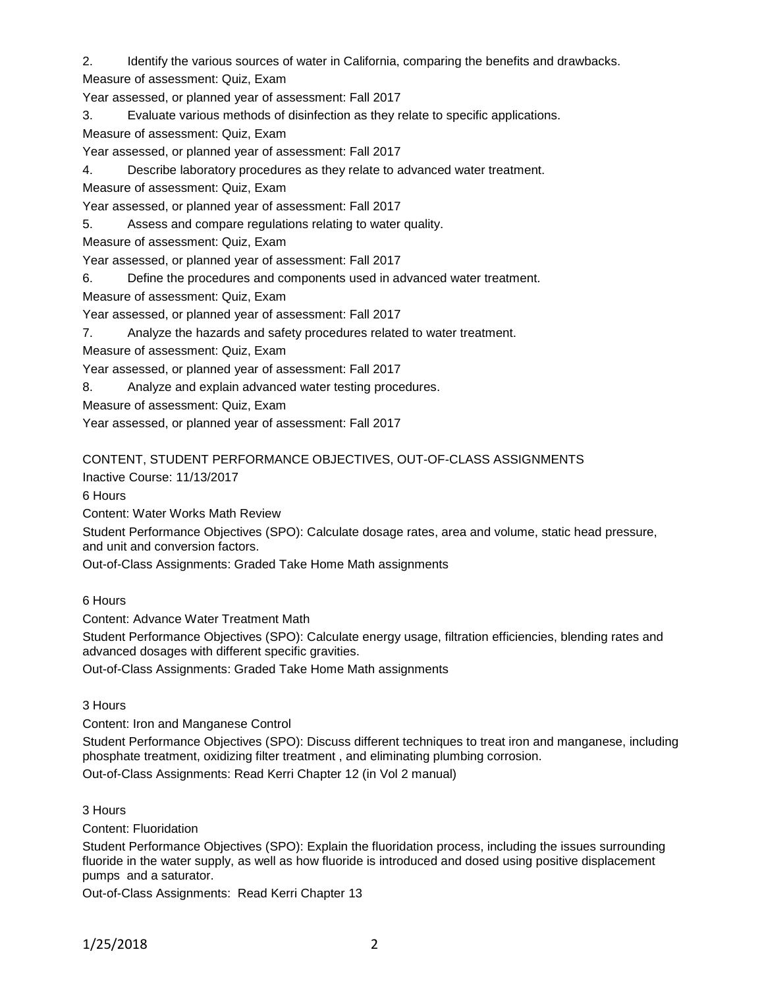2. Identify the various sources of water in California, comparing the benefits and drawbacks.

Measure of assessment: Quiz, Exam

Year assessed, or planned year of assessment: Fall 2017

3. Evaluate various methods of disinfection as they relate to specific applications.

Measure of assessment: Quiz, Exam

Year assessed, or planned year of assessment: Fall 2017

4. Describe laboratory procedures as they relate to advanced water treatment.

Measure of assessment: Quiz, Exam

Year assessed, or planned year of assessment: Fall 2017

5. Assess and compare regulations relating to water quality.

Measure of assessment: Quiz, Exam

Year assessed, or planned year of assessment: Fall 2017

6. Define the procedures and components used in advanced water treatment.

Measure of assessment: Quiz, Exam

Year assessed, or planned year of assessment: Fall 2017

7. Analyze the hazards and safety procedures related to water treatment.

Measure of assessment: Quiz, Exam

Year assessed, or planned year of assessment: Fall 2017

8. Analyze and explain advanced water testing procedures.

Measure of assessment: Quiz, Exam

Year assessed, or planned year of assessment: Fall 2017

## CONTENT, STUDENT PERFORMANCE OBJECTIVES, OUT-OF-CLASS ASSIGNMENTS

Inactive Course: 11/13/2017

6 Hours

Content: Water Works Math Review

Student Performance Objectives (SPO): Calculate dosage rates, area and volume, static head pressure, and unit and conversion factors.

Out-of-Class Assignments: Graded Take Home Math assignments

6 Hours

Content: Advance Water Treatment Math

Student Performance Objectives (SPO): Calculate energy usage, filtration efficiencies, blending rates and advanced dosages with different specific gravities.

Out-of-Class Assignments: Graded Take Home Math assignments

3 Hours

Content: Iron and Manganese Control

Student Performance Objectives (SPO): Discuss different techniques to treat iron and manganese, including phosphate treatment, oxidizing filter treatment , and eliminating plumbing corrosion. Out-of-Class Assignments: Read Kerri Chapter 12 (in Vol 2 manual)

3 Hours

Content: Fluoridation

Student Performance Objectives (SPO): Explain the fluoridation process, including the issues surrounding fluoride in the water supply, as well as how fluoride is introduced and dosed using positive displacement pumps and a saturator.

Out-of-Class Assignments: Read Kerri Chapter 13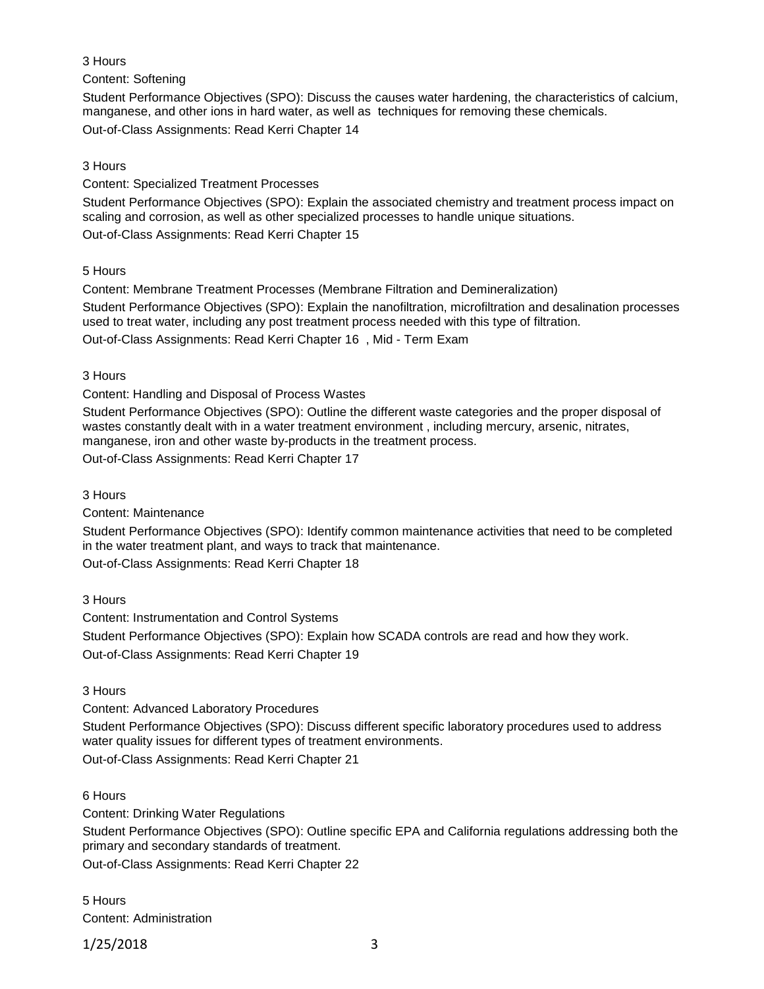## 3 Hours

Content: Softening

Student Performance Objectives (SPO): Discuss the causes water hardening, the characteristics of calcium, manganese, and other ions in hard water, as well as techniques for removing these chemicals. Out-of-Class Assignments: Read Kerri Chapter 14

3 Hours

Content: Specialized Treatment Processes

Student Performance Objectives (SPO): Explain the associated chemistry and treatment process impact on scaling and corrosion, as well as other specialized processes to handle unique situations. Out-of-Class Assignments: Read Kerri Chapter 15

5 Hours

Content: Membrane Treatment Processes (Membrane Filtration and Demineralization)

Student Performance Objectives (SPO): Explain the nanofiltration, microfiltration and desalination processes used to treat water, including any post treatment process needed with this type of filtration. Out-of-Class Assignments: Read Kerri Chapter 16 , Mid - Term Exam

3 Hours

Content: Handling and Disposal of Process Wastes

Student Performance Objectives (SPO): Outline the different waste categories and the proper disposal of wastes constantly dealt with in a water treatment environment , including mercury, arsenic, nitrates, manganese, iron and other waste by-products in the treatment process.

Out-of-Class Assignments: Read Kerri Chapter 17

3 Hours

Content: Maintenance

Student Performance Objectives (SPO): Identify common maintenance activities that need to be completed in the water treatment plant, and ways to track that maintenance.

Out-of-Class Assignments: Read Kerri Chapter 18

3 Hours

Content: Instrumentation and Control Systems

Student Performance Objectives (SPO): Explain how SCADA controls are read and how they work.

Out-of-Class Assignments: Read Kerri Chapter 19

3 Hours

Content: Advanced Laboratory Procedures

Student Performance Objectives (SPO): Discuss different specific laboratory procedures used to address water quality issues for different types of treatment environments. Out-of-Class Assignments: Read Kerri Chapter 21

6 Hours

Content: Drinking Water Regulations

Student Performance Objectives (SPO): Outline specific EPA and California regulations addressing both the primary and secondary standards of treatment.

Out-of-Class Assignments: Read Kerri Chapter 22

5 Hours Content: Administration

1/25/2018 3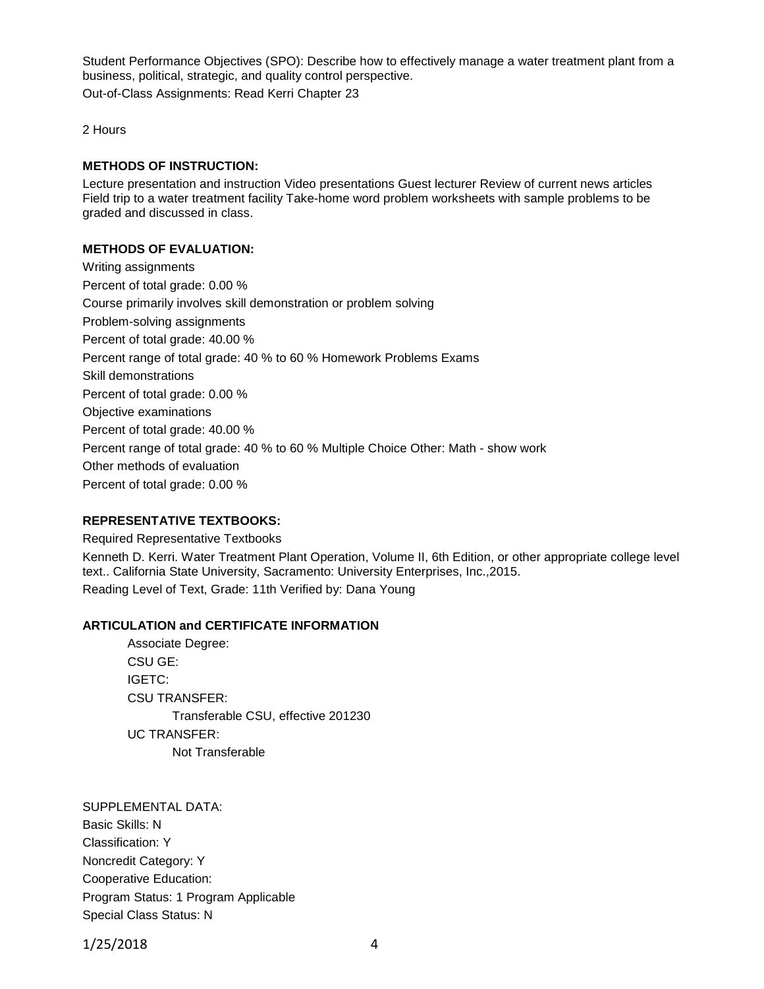Student Performance Objectives (SPO): Describe how to effectively manage a water treatment plant from a business, political, strategic, and quality control perspective.

Out-of-Class Assignments: Read Kerri Chapter 23

2 Hours

### **METHODS OF INSTRUCTION:**

Lecture presentation and instruction Video presentations Guest lecturer Review of current news articles Field trip to a water treatment facility Take-home word problem worksheets with sample problems to be graded and discussed in class.

### **METHODS OF EVALUATION:**

Writing assignments Percent of total grade: 0.00 % Course primarily involves skill demonstration or problem solving Problem-solving assignments Percent of total grade: 40.00 % Percent range of total grade: 40 % to 60 % Homework Problems Exams Skill demonstrations Percent of total grade: 0.00 % Objective examinations Percent of total grade: 40.00 % Percent range of total grade: 40 % to 60 % Multiple Choice Other: Math - show work Other methods of evaluation Percent of total grade: 0.00 %

### **REPRESENTATIVE TEXTBOOKS:**

Required Representative Textbooks

Kenneth D. Kerri. Water Treatment Plant Operation, Volume II, 6th Edition, or other appropriate college level text.. California State University, Sacramento: University Enterprises, Inc.,2015. Reading Level of Text, Grade: 11th Verified by: Dana Young

### **ARTICULATION and CERTIFICATE INFORMATION**

Associate Degree: CSU GE: IGETC: CSU TRANSFER: Transferable CSU, effective 201230 UC TRANSFER: Not Transferable

SUPPLEMENTAL DATA: Basic Skills: N Classification: Y Noncredit Category: Y Cooperative Education: Program Status: 1 Program Applicable Special Class Status: N

1/25/2018 4